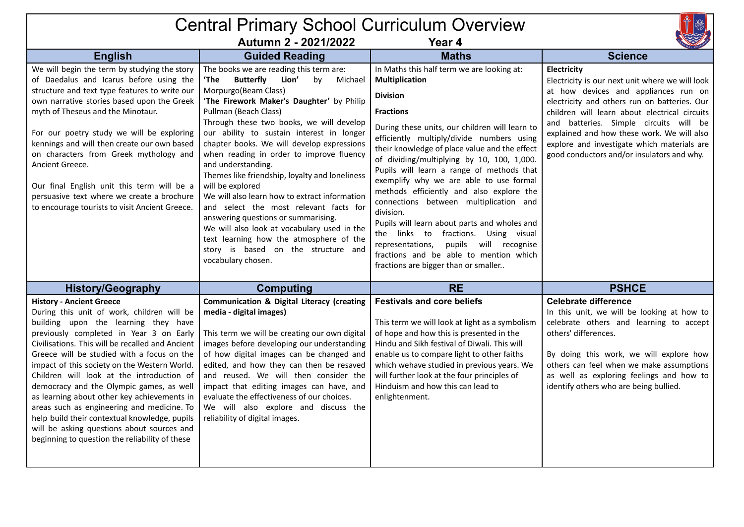## Central Primary School Curriculum Overview **Autumn 2 - 2021/2022 Year 4 English Guided Reading Maths Science** We will begin the term by studying the story of Daedalus and Icarus before using the structure and text type features to write our own narrative stories based upon the Greek myth of Theseus and the Minotaur. For our poetry study we will be exploring kennings and will then create our own based on characters from Greek mythology and Ancient Greece. Our final English unit this term will be a persuasive text where we create a brochure to encourage tourists to visit Ancient Greece. The books we are reading this term are: **'The Butterfly Lion'** by Michael Morpurgo(Beam Class) **'The Firework Maker's Daughter'** by Philip Pullman (Beach Class) Through these two books, we will develop our ability to sustain interest in longer chapter books. We will develop expressions when reading in order to improve fluency and understanding. Themes like friendship, loyalty and loneliness will be explored We will also learn how to extract information and select the most relevant facts for answering questions or summarising. We will also look at vocabulary used in the text learning how the atmosphere of the story is based on the structure and vocabulary chosen. In Maths this half term we are looking at: **Multiplication Division Fractions** During these units, our children will learn to efficiently multiply/divide numbers using their knowledge of place value and the effect of dividing/multiplying by 10, 100, 1,000. Pupils will learn a range of methods that exemplify why we are able to use formal methods efficiently and also explore the connections between multiplication and division. Pupils will learn about parts and wholes and the links to fractions. Using visual representations, pupils will recognise fractions and be able to mention which fractions are bigger than or smaller.. **Electricity** Electricity is our next unit where we will look at how devices and appliances run on electricity and others run on batteries. Our children will learn about electrical circuits and batteries. Simple circuits will be explained and how these work. We will also explore and investigate which materials are good conductors and/or insulators and why. **History/Geography Computing RE PSHCE History - Ancient Greece** During this unit of work, children will be building upon the learning they have previously completed in Year 3 on Early Civilisations. This will be recalled and Ancient Greece will be studied with a focus on the impact of this society on the Western World. Children will look at the introduction of democracy and the Olympic games, as well as learning about other key achievements in areas such as engineering and medicine. To help build their contextual knowledge, pupils will be asking questions about sources and beginning to question the reliability of these **Communication & Digital Literacy (creating media - digital images)** This term we will be creating our own digital images before developing our understanding of how digital images can be changed and edited, and how they can then be resaved and reused. We will then consider the impact that editing images can have, and evaluate the effectiveness of our choices. We will also explore and discuss the reliability of digital images. **Festivals and core beliefs** This term we will look at light as a symbolism of hope and how this is presented in the Hindu and Sikh festival of Diwali. This will enable us to compare light to other faiths which wehave studied in previous years. We will further look at the four principles of Hinduism and how this can lead to enlightenment. **Celebrate difference** In this unit, we will be looking at how to celebrate others and learning to accept others' differences. By doing this work, we will explore how others can feel when we make assumptions as well as exploring feelings and how to identify others who are being bullied.